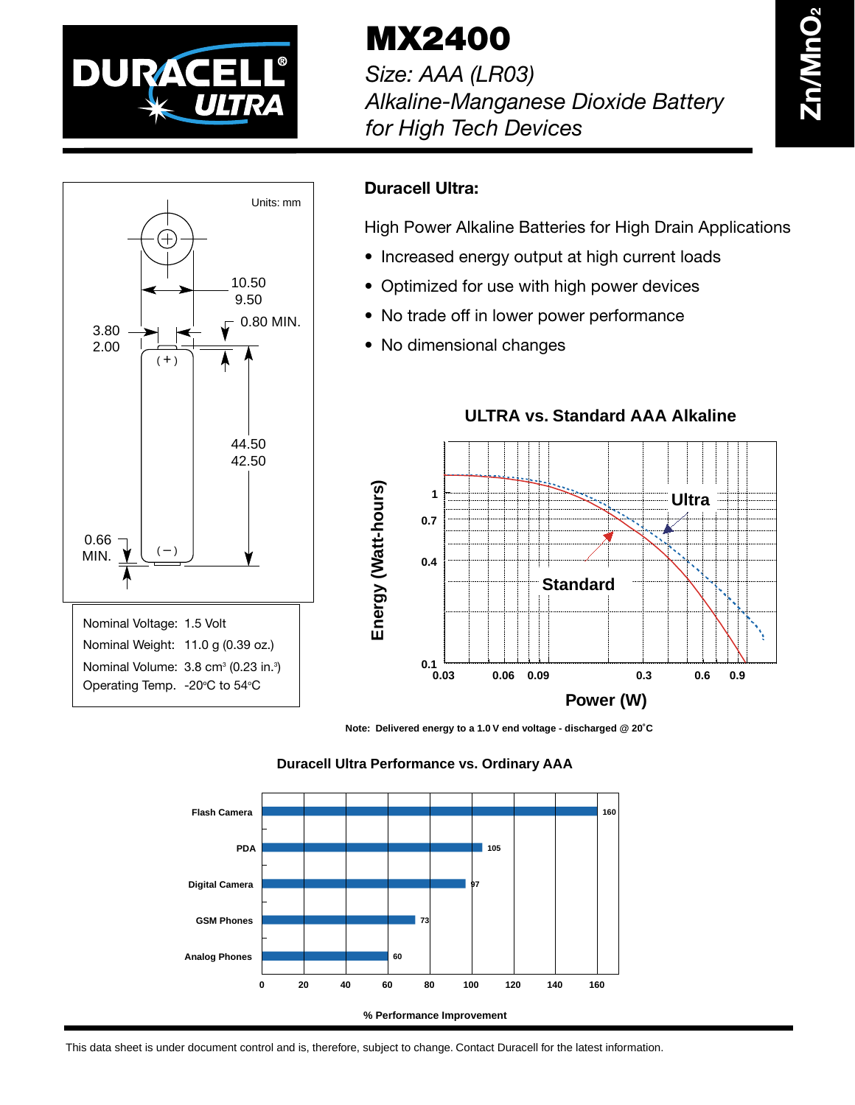

**MX2400**

*Size: AAA (LR03) Alkaline-Manganese Dioxide Battery for High Tech Devices*



## **Duracell Ultra:**

High Power Alkaline Batteries for High Drain Applications

- Increased energy output at high current loads
- Optimized for use with high power devices
- No trade off in lower power performance
- No dimensional changes



**Note: Delivered energy to a 1.0 V end voltage - discharged @ 20˚C**





This data sheet is under document control and is, therefore, subject to change. Contact Duracell for the latest information.